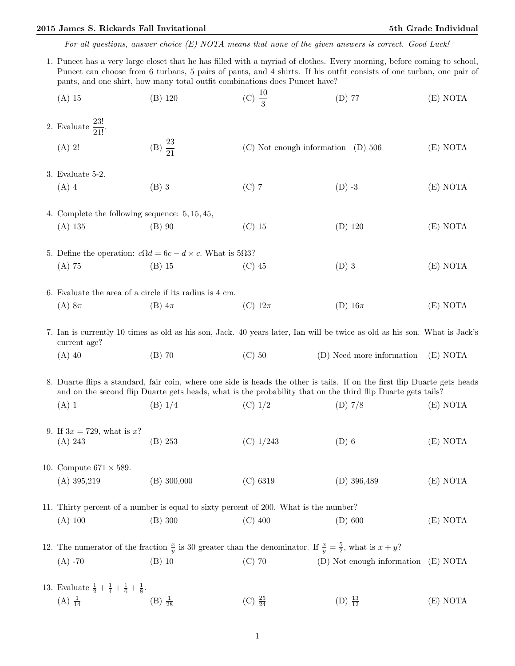## 2015 James S. Rickards Fall Invitational 5th Grade Individual 5th Grade Individual

For all questions, answer choice (E) NOTA means that none of the given answers is correct. Good Luck!

1. Puneet has a very large closet that he has filled with a myriad of clothes. Every morning, before coming to school, Puneet can choose from 6 turbans, 5 pairs of pants, and 4 shirts. If his outfit consists of one turban, one pair of pants, and one shirt, how many total outfit combinations does Puneet have?

|  | $(A)$ 15                                                                                                                                                                                                                                 | $(B)$ 120           | (C) $\frac{10}{3}$                     | $(D)$ 77                   | (E) NOTA |  |  |  |
|--|------------------------------------------------------------------------------------------------------------------------------------------------------------------------------------------------------------------------------------------|---------------------|----------------------------------------|----------------------------|----------|--|--|--|
|  | 2. Evaluate $\frac{1}{21!}$ .                                                                                                                                                                                                            |                     |                                        |                            |          |  |  |  |
|  | $(A)$ 2!                                                                                                                                                                                                                                 | (B) $\frac{23}{21}$ | $(C)$ Not enough information $(D)$ 506 |                            | (E) NOTA |  |  |  |
|  | $3.$ Evaluate $5-2.$                                                                                                                                                                                                                     |                     |                                        |                            |          |  |  |  |
|  | $(A)$ 4                                                                                                                                                                                                                                  | $(B)$ 3             | $(C)$ 7                                | $(D) -3$                   | (E) NOTA |  |  |  |
|  | 4. Complete the following sequence: $5, 15, 45, \ldots$                                                                                                                                                                                  |                     |                                        |                            |          |  |  |  |
|  | $(A)$ 135                                                                                                                                                                                                                                | $(B)$ 90            | $(C)$ 15                               | $(D)$ 120                  | (E) NOTA |  |  |  |
|  | 5. Define the operation: $c\Omega d = 6c - d \times c$ . What is 50.3?                                                                                                                                                                   |                     |                                        |                            |          |  |  |  |
|  | $(A)$ 75                                                                                                                                                                                                                                 | $(B)$ 15            | $(C)$ 45                               | $(D)$ 3                    | (E) NOTA |  |  |  |
|  | 6. Evaluate the area of a circle if its radius is 4 cm.                                                                                                                                                                                  |                     |                                        |                            |          |  |  |  |
|  | $(A) 8\pi$                                                                                                                                                                                                                               | $(B)$ 4 $\pi$       | (C) $12\pi$                            | (D) $16\pi$                | (E) NOTA |  |  |  |
|  | 7. Ian is currently 10 times as old as his son, Jack. 40 years later, Ian will be twice as old as his son. What is Jack's<br>current age?                                                                                                |                     |                                        |                            |          |  |  |  |
|  | $(A)$ 40                                                                                                                                                                                                                                 | $(B)$ 70            | $(C)$ 50                               | (D) Need more information  | (E) NOTA |  |  |  |
|  | 8. Duarte flips a standard, fair coin, where one side is heads the other is tails. If on the first flip Duarte gets heads<br>and on the second flip Duarte gets heads, what is the probability that on the third flip Duarte gets tails? |                     |                                        |                            |          |  |  |  |
|  | $(A)$ 1                                                                                                                                                                                                                                  | (B) 1/4             | $(C)$ 1/2                              | (D) 7/8                    | (E) NOTA |  |  |  |
|  | 9. If $3x = 729$ , what is x?<br>(A) 243                                                                                                                                                                                                 | (B) 253             | $(C)$ 1/243                            | $(D)$ 6                    | (E) NOTA |  |  |  |
|  |                                                                                                                                                                                                                                          |                     |                                        |                            |          |  |  |  |
|  | 10. Compute $671 \times 589$ .                                                                                                                                                                                                           |                     |                                        |                            |          |  |  |  |
|  | $(A)$ 395,219                                                                                                                                                                                                                            | $(B)$ 300,000       | $(C)$ 6319                             | $(D)$ 396,489              | (E) NOTA |  |  |  |
|  | 11. Thirty percent of a number is equal to sixty percent of 200. What is the number?                                                                                                                                                     |                     |                                        |                            |          |  |  |  |
|  | $(A)$ 100                                                                                                                                                                                                                                | (B) 300             | $(C)$ 400                              | $(D)$ 600                  | (E) NOTA |  |  |  |
|  | 12. The numerator of the fraction $\frac{x}{y}$ is 30 greater than the denominator. If $\frac{x}{y} = \frac{5}{2}$ , what is $x + y$ ?                                                                                                   |                     |                                        |                            |          |  |  |  |
|  | $(A) - 70$                                                                                                                                                                                                                               | $(B)$ 10            | $(C)$ 70                               | (D) Not enough information | (E) NOTA |  |  |  |
|  | 13. Evaluate $\frac{1}{2} + \frac{1}{4} + \frac{1}{6} + \frac{1}{8}$ .                                                                                                                                                                   |                     |                                        |                            |          |  |  |  |
|  | $(A) \frac{1}{14}$                                                                                                                                                                                                                       | $(B) \frac{1}{28}$  | (C) $\frac{25}{24}$                    | (D) $\frac{13}{12}$        | (E) NOTA |  |  |  |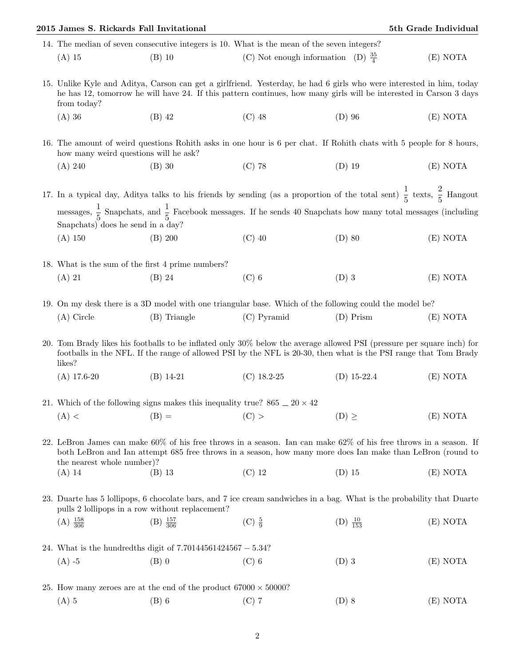| 2015 James S. Rickards Fall Invitational                                                                                                                                                                                                                                           |                                                                          |                                                                                             |                      | 5th Grade Individual |  |  |
|------------------------------------------------------------------------------------------------------------------------------------------------------------------------------------------------------------------------------------------------------------------------------------|--------------------------------------------------------------------------|---------------------------------------------------------------------------------------------|----------------------|----------------------|--|--|
|                                                                                                                                                                                                                                                                                    |                                                                          | 14. The median of seven consecutive integers is 10. What is the mean of the seven integers? |                      |                      |  |  |
| $(A)$ 15                                                                                                                                                                                                                                                                           | $(B)$ 10                                                                 | (C) Not enough information (D) $\frac{35}{4}$                                               |                      | (E) NOTA             |  |  |
| 15. Unlike Kyle and Aditya, Carson can get a girlfriend. Yesterday, he had 6 girls who were interested in him, today<br>he has 12, tomorrow he will have 24. If this pattern continues, how many girls will be interested in Carson 3 days<br>from today?                          |                                                                          |                                                                                             |                      |                      |  |  |
| $(A)$ 36                                                                                                                                                                                                                                                                           | $(B)$ 42                                                                 | $(C)$ 48                                                                                    | $(D)$ 96             | (E) NOTA             |  |  |
| 16. The amount of weird questions Rohith asks in one hour is 6 per chat. If Rohith chats with 5 people for 8 hours,<br>how many weird questions will be ask?                                                                                                                       |                                                                          |                                                                                             |                      |                      |  |  |
| (A) 240                                                                                                                                                                                                                                                                            | $(B)$ 30                                                                 | $(C)$ 78                                                                                    | $(D)$ 19             | (E) NOTA             |  |  |
| 17. In a typical day, Aditya talks to his friends by sending (as a proportion of the total sent) $\frac{1}{5}$ texts, $\frac{2}{5}$ Hangout<br>messages, $\frac{1}{5}$ Snapchats, and $\frac{1}{5}$ Facebook messages. If he sends 40 Snapchats how many total messages (including |                                                                          |                                                                                             |                      |                      |  |  |
| Snapchats) does he send in a day?                                                                                                                                                                                                                                                  |                                                                          |                                                                                             |                      |                      |  |  |
| $(A)$ 150                                                                                                                                                                                                                                                                          | $(B)$ 200                                                                | $(C)$ 40                                                                                    | $(D)$ 80             | (E) NOTA             |  |  |
| 18. What is the sum of the first 4 prime numbers?                                                                                                                                                                                                                                  |                                                                          |                                                                                             |                      |                      |  |  |
| $(A)$ 21                                                                                                                                                                                                                                                                           | $(B)$ 24                                                                 | $(C)$ 6                                                                                     | $(D)$ 3              | (E) NOTA             |  |  |
| 19. On my desk there is a 3D model with one triangular base. Which of the following could the model be?                                                                                                                                                                            |                                                                          |                                                                                             |                      |                      |  |  |
| $(A)$ Circle                                                                                                                                                                                                                                                                       | (B) Triangle                                                             | $(C)$ Pyramid                                                                               | $(D)$ Prism          | (E) NOTA             |  |  |
| 20. Tom Brady likes his footballs to be inflated only 30% below the average allowed PSI (pressure per square inch) for<br>footballs in the NFL. If the range of allowed PSI by the NFL is 20-30, then what is the PSI range that Tom Brady<br>likes?                               |                                                                          |                                                                                             |                      |                      |  |  |
| $(A)$ 17.6-20                                                                                                                                                                                                                                                                      | $(B)$ 14-21                                                              | $(C)$ 18.2-25                                                                               | $(D)$ 15-22.4        | (E) NOTA             |  |  |
| 21. Which of the following signs makes this inequality true? 865 $\ldots$ 20 $\times$ 42                                                                                                                                                                                           |                                                                          |                                                                                             |                      |                      |  |  |
| (A) <                                                                                                                                                                                                                                                                              | $(B) =$                                                                  | (C) >                                                                                       | $(D) \geq$           | (E) NOTA             |  |  |
| 22. LeBron James can make 60% of his free throws in a season. Ian can make 62% of his free throws in a season. If<br>both LeBron and Ian attempt 685 free throws in a season, how many more does Ian make than LeBron (round to<br>the nearest whole number?                       |                                                                          |                                                                                             |                      |                      |  |  |
| $(A)$ 14                                                                                                                                                                                                                                                                           | $(B)$ 13                                                                 | $(C)$ 12                                                                                    | $(D)$ 15             | (E) NOTA             |  |  |
| 23. Duarte has 5 lollipops, 6 chocolate bars, and 7 ice cream sandwiches in a bag. What is the probability that Duarte<br>pulls 2 lollipops in a row without replacement?                                                                                                          |                                                                          |                                                                                             |                      |                      |  |  |
| $(A) \frac{158}{306}$                                                                                                                                                                                                                                                              | $(B) \frac{157}{306}$                                                    | $(C) \frac{5}{9}$                                                                           | (D) $\frac{10}{153}$ | (E) NOTA             |  |  |
| 24. What is the hundredths digit of $7.70144561424567 - 5.34?$                                                                                                                                                                                                                     |                                                                          |                                                                                             |                      |                      |  |  |
| $(A)$ -5                                                                                                                                                                                                                                                                           | $(B)$ 0                                                                  | $(C)$ 6                                                                                     | $(D)$ 3              | (E) NOTA             |  |  |
|                                                                                                                                                                                                                                                                                    | 25. How many zeroes are at the end of the product $67000 \times 50000$ ? |                                                                                             |                      |                      |  |  |
| $(A)$ 5                                                                                                                                                                                                                                                                            | $(B)$ 6                                                                  | $(C)$ 7                                                                                     | $(D)$ 8              | (E) NOTA             |  |  |